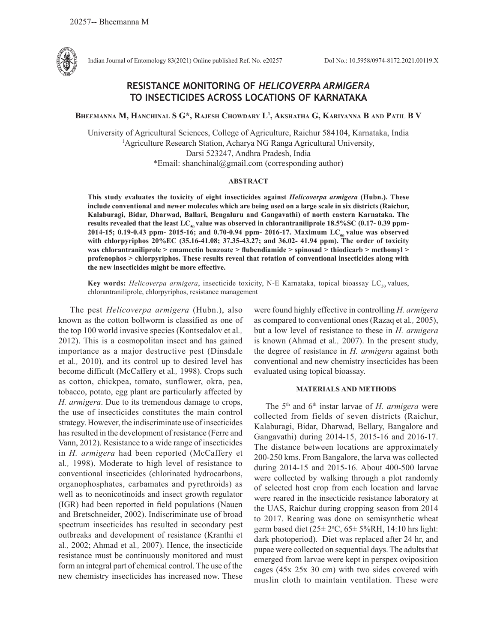

Indian Journal of Entomology 83(2021) Online published Ref. No. e20257 DoI No.: 10.5958/0974-8172.2021.00119.X

# **RESISTANCE MONITORING OF** *HELICOVERPA ARMIGERA* **TO INSECTICIDES ACROSS LOCATIONS OF KARNATAKA**

**Bheemanna M, Hanchinal S G\*, Rajesh Chowdary L1 , Akshatha G, Kariyanna B and Patil B V**

University of Agricultural Sciences, College of Agriculture, Raichur 584104, Karnataka, India 1 Agriculture Research Station, Acharya NG Ranga Agricultural University, Darsi 523247, Andhra Pradesh, India \*Email: shanchinal@gmail.com (corresponding author)

### **ABSTRACT**

**This study evaluates the toxicity of eight insecticides against** *Helicoverpa armigera* **(Hubn.). These include conventional and newer molecules which are being used on a large scale in six districts (Raichur, Kalaburagi, Bidar, Dharwad, Ballari, Bengaluru and Gangavathi) of north eastern Karnataka. The**  results revealed that the least  $LC_{s0}$  value was observed in chlorantraniliprole  $18.5\%$ SC (0.17- 0.39 ppm-2014-15; 0.19-0.43 ppm- 2015-16; and 0.70-0.94 ppm- 2016-17. Maximum LC<sub>50</sub> value was observed **with chlorpyriphos 20%EC (35.16-41.08; 37.35-43.27; and 36.02- 41.94 ppm). The order of toxicity was chlorantraniliprole > emamectin benzoate > flubendiamide > spinosad > thiodicarb > methomyl > profenophos > chlorpyriphos. These results reveal that rotation of conventional insecticides along with the new insecticides might be more effective.** 

Key words: *Helicoverpa armigera*, insecticide toxicity, N-E Karnataka, topical bioassay LC<sub>50</sub> values, chlorantraniliprole, chlorpyriphos, resistance management

The pest *Helicoverpa armigera* (Hubn.), also known as the cotton bollworm is classified as one of the top 100 world invasive species (Kontsedalov et al*.,* 2012). This is a cosmopolitan insect and has gained importance as a major destructive pest (Dinsdale et al*.,* 2010), and its control up to desired level has become difficult (McCaffery et al*.,* 1998). Crops such as cotton, chickpea, tomato, sunflower, okra, pea, tobacco, potato, egg plant are particularly affected by *H. armigera*. Due to its tremendous damage to crops, the use of insecticides constitutes the main control strategy. However, the indiscriminate use of insecticides has resulted in the development of resistance (Ferre and Vann, 2012). Resistance to a wide range of insecticides in *H. armigera* had been reported (McCaffery et al*.,* 1998). Moderate to high level of resistance to conventional insecticides (chlorinated hydrocarbons, organophosphates, carbamates and pyrethroids) as well as to neonicotinoids and insect growth regulator (IGR) had been reported in field populations (Nauen and Bretschneider, 2002). Indiscriminate use of broad spectrum insecticides has resulted in secondary pest outbreaks and development of resistance (Kranthi et al*.,* 2002; Ahmad et al*.,* 2007). Hence, the insecticide resistance must be continuously monitored and must form an integral part of chemical control. The use of the new chemistry insecticides has increased now. These

were found highly effective in controlling *H. armigera*  as compared to conventional ones (Razaq et al*.,* 2005), but a low level of resistance to these in *H. armigera* is known (Ahmad et al*.,* 2007). In the present study, the degree of resistance in *H. armigera* against both conventional and new chemistry insecticides has been evaluated using topical bioassay.

## **MATERIALS AND METHODS**

The 5th and 6th instar larvae of *H. armigera* were collected from fields of seven districts (Raichur, Kalaburagi, Bidar, Dharwad, Bellary, Bangalore and Gangavathi) during 2014-15, 2015-16 and 2016-17. The distance between locations are approximately 200-250 kms. From Bangalore, the larva was collected during 2014-15 and 2015-16. About 400-500 larvae were collected by walking through a plot randomly of selected host crop from each location and larvae were reared in the insecticide resistance laboratory at the UAS, Raichur during cropping season from 2014 to 2017. Rearing was done on semisynthetic wheat germ based diet  $(25 \pm 2$ <sup>o</sup>C,  $65 \pm 5$ %RH, 14:10 hrs light: dark photoperiod). Diet was replaced after 24 hr, and pupae were collected on sequential days. The adults that emerged from larvae were kept in perspex oviposition cages (45x 25x 30 cm) with two sides covered with muslin cloth to maintain ventilation. These were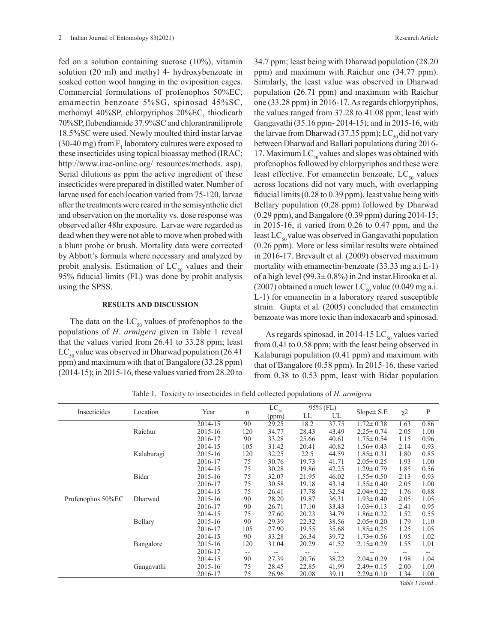fed on a solution containing sucrose (10%), vitamin solution (20 ml) and methyl 4- hydroxybenzoate in soaked cotton wool hanging in the oviposition cages. Commercial formulations of profenophos 50%EC, emamectin benzoate 5%SG, spinosad 45%SC, methomyl 40%SP, chlorpyriphos 20%EC, thiodicarb 70%SP, flubendiamide 37.9%SC and chlorantraniliprole 18.5%SC were used. Newly moulted third instar larvae (30-40 mg) from  $F_1$  laboratory cultures were exposed to these insecticides using topical bioassay method (IRAC; http://www.irac-online.org/ resources/methods. asp). Serial dilutions as ppm the active ingredient of these insecticides were prepared in distilled water. Number of larvae used for each location varied from 75-120, larvae after the treatments were reared in the semisynthetic diet and observation on the mortality vs. dose response was observed after 48hr exposure. Larvae were regarded as dead when they were not able to move when probed with a blunt probe or brush. Mortality data were corrected by Abbott's formula where necessary and analyzed by probit analysis. Estimation of  $LC_{50}$  values and their 95% fiducial limits (FL) was done by probit analysis using the SPSS.

### **RESULTS AND DISCUSSION**

The data on the  $LC_{50}$  values of profenophos to the populations of *H. armigera* given in Table 1 reveal that the values varied from 26.41 to 33.28 ppm; least  $LC_{50}$  value was observed in Dharwad population (26.41) ppm) and maximum with that of Bangalore (33.28 ppm) (2014-15); in 2015-16, these values varied from 28.20 to 34.7 ppm; least being with Dharwad population (28.20 ppm) and maximum with Raichur one (34.77 ppm). Similarly, the least value was observed in Dharwad population (26.71 ppm) and maximum with Raichur one (33.28 ppm) in 2016-17. As regards chlorpyriphos, the values ranged from 37.28 to 41.08 ppm; least with Gangavathi (35.16 ppm- 2014-15); and in 2015-16, with the larvae from Dharwad (37.35 ppm); LC<sub>50</sub> did not vary between Dharwad and Ballari populations during 2016- 17. Maximum  $LC_{50}$  values and slopes was obtained with profenophos followed by chlorpyriphos and these were least effective. For emamectin benzoate,  $LC_{50}$  values across locations did not vary much, with overlapping fiducial limits (0.28 to 0.39 ppm), least value being with Bellary population (0.28 ppm) followed by Dharwad (0.29 ppm), and Bangalore (0.39 ppm) during 2014-15; in 2015-16, it varied from 0.26 to 0.47 ppm, and the least  $LC_{50}$  value was observed in Gangavathi population (0.26 ppm). More or less similar results were obtained in 2016-17. Brevault et al*.* (2009) observed maximum mortality with emamectin-benzoate (33.33 mg a.i L-1) of a high level (99.3± 0.8%) in 2nd instar.Hirooka et al*.* (2007) obtained a much lower LC<sub>50</sub> value (0.049 mg a.i. L-1) for emamectin in a laboratory reared susceptible strain. Gupta et al*.* (2005) concluded that emamectin benzoate was more toxic than indoxacarb and spinosad.

As regards spinosad, in 2014-15  $LC_{50}$  values varied from 0.41 to 0.58 ppm; with the least being observed in Kalaburagi population (0.41 ppm) and maximum with that of Bangalore (0.58 ppm). In 2015-16, these varied from 0.38 to 0.53 ppm, least with Bidar population

| Insecticides      | Location   | Year    |     | $LC_{50}$ | 95% (FL) |       |                 |          |      |
|-------------------|------------|---------|-----|-----------|----------|-------|-----------------|----------|------|
|                   |            |         | n   | (ppm)     | LL       | UL    | $Slope \pm S.E$ | $\chi$ 2 | P    |
|                   |            | 2014-15 | 90  | 29.25     | 18.2     | 37.75 | $1.72 \pm 0.38$ | 1.63     | 0.86 |
|                   | Raichur    | 2015-16 | 120 | 34.77     | 28.43    | 43.49 | $2.25 \pm 0.74$ | 2.05     | 1.00 |
|                   |            | 2016-17 | 90  | 33.28     | 25.66    | 40.61 | $1.75 \pm 0.54$ | 1.15     | 0.96 |
|                   |            | 2014-15 | 105 | 31.42     | 20.41    | 40.82 | $1.56 \pm 0.43$ | 2.14     | 0.93 |
|                   | Kalaburagi | 2015-16 | 120 | 32.25     | 22.5     | 44.59 | $1.85 \pm 0.31$ | 1.80     | 0.85 |
|                   |            | 2016-17 | 75  | 30.76     | 19.73    | 41.71 | $2.05 \pm 0.25$ | 1.93     | 1.00 |
|                   |            | 2014-15 | 75  | 30.28     | 19.86    | 42.25 | $1.29 \pm 0.79$ | 1.85     | 0.56 |
|                   | Bidar      | 2015-16 | 75  | 32.07     | 21.95    | 46.02 | $1.55 \pm 0.50$ | 2.13     | 0.93 |
|                   |            | 2016-17 | 75  | 30.58     | 19.18    | 43.14 | $1.55 \pm 0.40$ | 2.05     | 1.00 |
|                   |            | 2014-15 | 75  | 26.41     | 17.78    | 32.54 | $2.04 \pm 0.22$ | 1.76     | 0.88 |
| Profenophos 50%EC | Dharwad    | 2015-16 | 90  | 28.20     | 19.87    | 36.31 | $1.93 \pm 0.40$ | 2.05     | 1.05 |
|                   |            | 2016-17 | 90  | 26.71     | 17.10    | 33.43 | $1.03 \pm 0.13$ | 2.41     | 0.95 |
|                   |            | 2014-15 | 75  | 27.60     | 20.23    | 34.79 | $1.86 \pm 0.22$ | 1.52     | 0.55 |
|                   | Bellary    | 2015-16 | 90  | 29.39     | 22.32    | 38.56 | $2.05 \pm 0.20$ | 1.79     | 1.10 |
|                   |            | 2016-17 | 105 | 27.90     | 19.55    | 35.68 | $1.85 \pm 0.25$ | 1.25     | 1.05 |
|                   |            | 2014-15 | 90  | 33.28     | 26.34    | 39.72 | $1.73 \pm 0.56$ | 1.95     | 1.02 |
|                   | Bangalore  | 2015-16 | 120 | 31.04     | 20.29    | 41.52 | $2.15 \pm 0.29$ | 1.55     | 1.01 |
|                   |            | 2016-17 | --  |           |          |       |                 | --       |      |
|                   | Gangavathi | 2014-15 | 90  | 27.39     | 20.76    | 38.22 | $2.04 \pm 0.29$ | 1.98     | 1.04 |
|                   |            | 2015-16 | 75  | 28.45     | 22.85    | 41.99 | $2.49 \pm 0.15$ | 2.00     | 1.09 |
|                   |            | 2016-17 | 75  | 26.96     | 20.08    | 39.11 | $2.29 \pm 0.10$ | 1.34     | 1.00 |
|                   |            |         |     |           |          |       |                 | $-11 -$  |      |

Table 1. Toxicity to insecticides in field collected populations of *H. armigera*

*Table 1 contd...*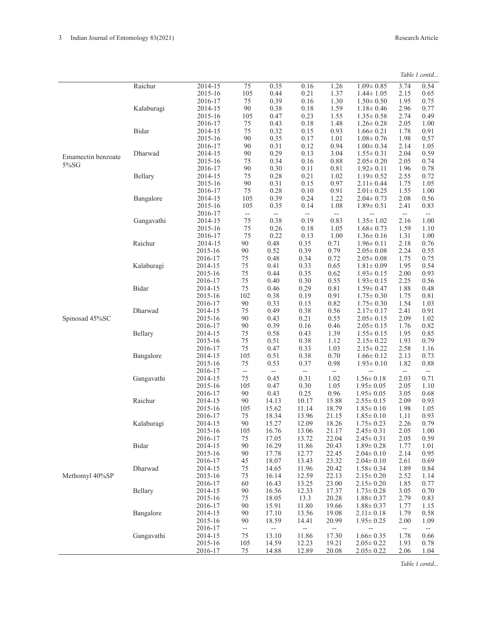|  | Table 1 contd |
|--|---------------|
|--|---------------|

|                    | Raichur    | 2014-15 | 75                       | 0.35                     | 0.16           | 1.26                     | $1.09 \pm 0.85$ | 3.74                     | 0.54                     |
|--------------------|------------|---------|--------------------------|--------------------------|----------------|--------------------------|-----------------|--------------------------|--------------------------|
|                    |            | 2015-16 | 105                      | 0.44                     | 0.21           | 1.37                     | $1.44 \pm 1.05$ | 2.15                     | 0.65                     |
|                    |            | 2016-17 | 75                       | 0.39                     | 0.16           | 1.30                     | $1.50 \pm 0.50$ | 1.95                     | 0.75                     |
|                    |            |         | 90                       | 0.38                     | 0.18           | 1.59                     | $1.18 \pm 0.46$ | 2.96                     | 0.77                     |
|                    | Kalaburagi | 2014-15 |                          |                          |                |                          |                 |                          |                          |
|                    |            | 2015-16 | 105                      | 0.47                     | 0.23           | 1.55                     | $1.35 \pm 0.58$ | 2.74                     | 0.49                     |
|                    |            | 2016-17 | $75\,$                   | 0.43                     | 0.18           | 1.48                     | $1.26 \pm 0.28$ | 2.05                     | 1.00                     |
|                    | Bidar      | 2014-15 | 75                       | 0.32                     | 0.15           | 0.93                     | $1.66 \pm 0.21$ | 1.78                     | 0.91                     |
|                    |            | 2015-16 | 90                       | 0.35                     | 0.17           | 1.01                     | $1.08 \pm 0.76$ | 1.98                     | 0.57                     |
|                    |            |         |                          |                          |                |                          |                 |                          |                          |
|                    |            | 2016-17 | 90                       | 0.31                     | 0.12           | 0.94                     | $1.00 \pm 0.34$ | 2.14                     | 1.05                     |
| Emamectin benzoate | Dharwad    | 2014-15 | 90                       | 0.29                     | 0.13           | 3.04                     | $1.55 \pm 0.31$ | 2.04                     | 0.59                     |
|                    |            | 2015-16 | 75                       | 0.34                     | 0.16           | 0.88                     | $2.05 \pm 0.20$ | 2.05                     | 0.74                     |
| 5%SG               |            | 2016-17 | 90                       | 0.30                     | 0.11           | 0.81                     | $1.92 \pm 0.11$ | 1.96                     | 0.78                     |
|                    |            |         |                          |                          |                |                          |                 |                          |                          |
|                    | Bellary    | 2014-15 | 75                       | 0.28                     | 0.21           | 1.02                     | $1.19 \pm 0.52$ | 2.55                     | 0.72                     |
|                    |            | 2015-16 | 90                       | 0.31                     | 0.15           | 0.97                     | $2.11 \pm 0.44$ | 1.75                     | 1.05                     |
|                    |            | 2016-17 | 75                       | 0.28                     | 0.10           | 0.91                     | $2.01 \pm 0.25$ | 1.55                     | 1.00                     |
|                    | Bangalore  | 2014-15 | 105                      | 0.39                     | 0.24           | 1.22                     | $2.04 \pm 0.73$ | 2.08                     | 0.56                     |
|                    |            |         |                          |                          |                |                          |                 |                          |                          |
|                    |            | 2015-16 | 105                      | 0.35                     | 0.14           | 1.08                     | $1.89 \pm 0.51$ | 2.41                     | 0.83                     |
|                    |            | 2016-17 | $\overline{\phantom{a}}$ | --                       | --             | --                       |                 | $\overline{\phantom{a}}$ | $\overline{\phantom{a}}$ |
|                    | Gangavathi | 2014-15 | 75                       | 0.38                     | 0.19           | 0.83                     | $1.35 \pm 1.02$ | 2.16                     | 1.00                     |
|                    |            | 2015-16 | 75                       | 0.26                     | 0.18           | 1.05                     | $1.68 \pm 0.73$ | 1.59                     | 1.10                     |
|                    |            | 2016-17 | 75                       | 0.22                     | 0.13           | 1.00                     | $1.36 \pm 0.16$ | 1.31                     | 1.00                     |
|                    | Raichur    | 2014-15 | 90                       | 0.48                     | 0.35           | 0.71                     | $1.96 \pm 0.11$ | 2.18                     | 0.76                     |
|                    |            |         |                          |                          |                |                          |                 |                          |                          |
|                    |            | 2015-16 | 90                       | 0.52                     | 0.39           | 0.79                     | $2.05 \pm 0.08$ | 2.24                     | 0.55                     |
|                    |            | 2016-17 | 75                       | 0.48                     | 0.34           | 0.72                     | $2.05 \pm 0.08$ | 1.75                     | 0.75                     |
|                    | Kalaburagi | 2014-15 | $75\,$                   | 0.41                     | 0.33           | 0.65                     | $1.81 \pm 0.09$ | 1.95                     | 0.54                     |
|                    |            | 2015-16 | 75                       | 0.44                     | 0.35           | 0.62                     | $1.93 \pm 0.15$ | 2.00                     | 0.93                     |
|                    |            | 2016-17 | $75\,$                   | 0.40                     | 0.30           | 0.55                     | $1.93 \pm 0.15$ | 2.25                     | 0.56                     |
|                    |            |         |                          |                          |                |                          |                 |                          |                          |
|                    | Bidar      | 2014-15 | 75                       | 0.46                     | 0.29           | 0.81                     | $1.59 \pm 0.47$ | 1.88                     | 0.48                     |
|                    |            | 2015-16 | 102                      | 0.38                     | 0.19           | 0.91                     | $1.75 \pm 0.30$ | 1.75                     | 0.81                     |
|                    |            | 2016-17 | 90                       | 0.33                     | 0.15           | 0.82                     | $1.75 \pm 0.30$ | 1.54                     | 1.03                     |
|                    | Dharwad    | 2014-15 | 75                       | 0.49                     | 0.38           | 0.56                     | $2.17 \pm 0.17$ | 2.41                     | 0.91                     |
| Spinosad 45%SC     |            | 2015-16 | 90                       | 0.43                     | 0.21           | 0.55                     | $2.05 \pm 0.15$ | 2.09                     | 1.02                     |
|                    |            |         |                          |                          |                |                          |                 |                          |                          |
|                    |            | 2016-17 | 90                       | 0.39                     | 0.16           | 0.46                     | $2.05 \pm 0.15$ | 1.76                     | 0.82                     |
|                    | Bellary    | 2014-15 | 75                       | 0.58                     | 0.43           | 1.39                     | $1.55 \pm 0.15$ | 1.95                     | 0.85                     |
|                    |            | 2015-16 | 75                       | 0.51                     | 0.38           | 1.12                     | $2.15 \pm 0.22$ | 1.93                     | 0.79                     |
|                    |            | 2016-17 | 75                       | 0.47                     | 0.33           | 1.03                     | $2.15 \pm 0.22$ | 2.58                     | 1.16                     |
|                    | Bangalore  | 2014-15 | 105                      | 0.51                     | 0.38           | 0.70                     | $1.66 \pm 0.12$ | 2.13                     | 0.73                     |
|                    |            |         |                          |                          |                |                          |                 |                          |                          |
|                    |            | 2015-16 | 75                       | 0.53                     | 0.37           | 0.98                     | $1.93 \pm 0.10$ | 1.82                     | 0.88                     |
|                    |            | 2016-17 | $\overline{\phantom{a}}$ | $\overline{\phantom{a}}$ | $\overline{a}$ | $\overline{\phantom{a}}$ | --              | $\overline{\phantom{a}}$ | $\overline{\phantom{a}}$ |
|                    | Gangavathi | 2014-15 | 75                       | 0.45                     | 0.31           | 1.02                     | $1.56 \pm 0.18$ | 2.03                     | 0.71                     |
|                    |            | 2015-16 | 105                      | 0.47                     | 0.30           | 1.05                     | $1.95 \pm 0.05$ | 2.05                     | 1.10                     |
|                    |            | 2016-17 | 90                       | 0.43                     | 0.25           | 0.96                     | $1.95 \pm 0.05$ | 3.05                     | 0.68                     |
|                    | Raichur    |         |                          |                          |                |                          |                 |                          |                          |
|                    |            | 2014-15 | 90                       | 14.13                    | 10.17          | 15.88                    | $2.55 \pm 0.15$ | 2.09                     | 0.93                     |
|                    |            | 2015-16 | 105                      | 15.62                    | 11.14          | 18.79                    | $1.85 \pm 0.10$ | 1.98                     | 1.05                     |
|                    |            | 2016-17 | $75\,$                   | 18.34                    | 13.96          | 21.15                    | $1.85 \pm 0.10$ | 1.11                     | 0.93                     |
|                    | Kalaburagi | 2014-15 | 90                       | 15.27                    | 12.09          | 18.26                    | $1.75 \pm 0.23$ | 2.26                     | 0.79                     |
|                    |            | 2015-16 | 105                      | 16.76                    | 13.06          | 21.17                    | $2.45 \pm 0.31$ | 2.05                     | 1.00                     |
|                    |            |         | 75                       |                          |                |                          |                 |                          |                          |
|                    |            | 2016-17 |                          | 17.05                    | 13.72          | 22.04                    | $2.45 \pm 0.31$ | 2.05                     | 0.59                     |
|                    | Bidar      | 2014-15 | 90                       | 16.29                    | 11.86          | 20.43                    | $1.89 \pm 0.28$ | 1.77                     | 1.01                     |
|                    |            | 2015-16 | 90                       | 17.78                    | 12.77          | 22.45                    | $2.04 \pm 0.10$ | 2.14                     | 0.95                     |
|                    |            | 2016-17 | 45                       | 18.07                    | 13.43          | 23.32                    | $2.04 \pm 0.10$ | 2.61                     | 0.69                     |
|                    | Dharwad    | 2014-15 | 75                       | 14.65                    | 11.96          | 20.42                    | $1.58 \pm 0.34$ | 1.89                     | 0.84                     |
|                    |            |         |                          |                          |                | 22.13                    | $2.15 \pm 0.20$ |                          |                          |
| Methomyl 40%SP     |            | 2015-16 | 75                       | 16.14                    | 12.59          |                          |                 | 2.52                     | 1.14                     |
|                    |            | 2016-17 | 60                       | 16.43                    | 13.25          | 23.00                    | $2.15 \pm 0.20$ | 1.85                     | 0.77                     |
|                    | Bellary    | 2014-15 | 90                       | 16.56                    | 12.33          | 17.37                    | $1.73 \pm 0.28$ | 3.05                     | 0.70                     |
|                    |            | 2015-16 | 75                       | 18.05                    | 13.3           | 20.28                    | $1.88 \pm 0.37$ | 2.79                     | 0.83                     |
|                    |            | 2016-17 | 90                       | 15.91                    | 11.80          | 19.66                    | $1.88 \pm 0.37$ | 1.77                     | 1.15                     |
|                    | Bangalore  |         |                          |                          |                |                          |                 |                          |                          |
|                    |            | 2014-15 | 90                       | 17.10                    | 13.56          | 19.08                    | $2.11 \pm 0.18$ | 1.79                     | 0.58                     |
|                    |            | 2015-16 | 90                       | 18.59                    | 14.41          | 20.99                    | $1.95 \pm 0.25$ | 2.00                     | 1.09                     |
|                    |            | 2016-17 | $\overline{\phantom{a}}$ | --                       | --             | $\overline{\phantom{a}}$ |                 | $\overline{\phantom{a}}$ | $\overline{\phantom{a}}$ |
|                    | Gangavathi | 2014-15 | 75                       | 13.10                    | 11.86          | 17.30                    | $1.66 \pm 0.35$ | 1.78                     | 0.66                     |
|                    |            | 2015-16 | 105                      | 14.59                    | 12.23          | 19.21                    | $2.05 \pm 0.22$ | 1.93                     | 0.78                     |
|                    |            | 2016-17 | 75                       | 14.88                    | 12.89          | 20.08                    | $2.05 \pm 0.22$ | 2.06                     | 1.04                     |
|                    |            |         |                          |                          |                |                          |                 |                          |                          |

*Table 1 contd...*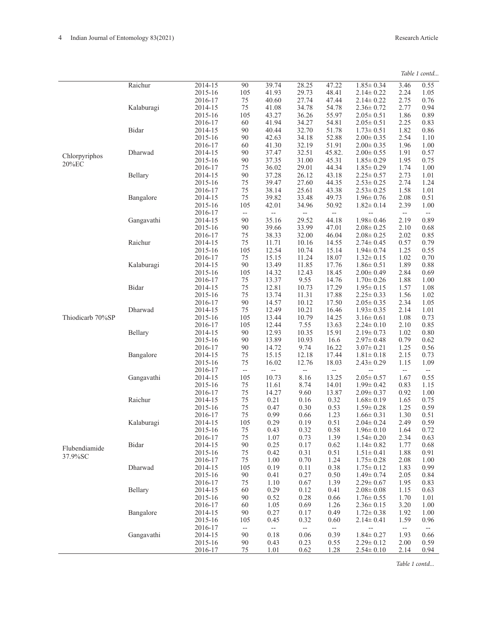|  | Table 1 contd |
|--|---------------|
|--|---------------|

|                  | Raichur      | 2014-15 | 90                       | 39.74                    | 28.25                    | 47.22                    | $1.85 \pm 0.34$ | 3.46                     | 0.55                     |
|------------------|--------------|---------|--------------------------|--------------------------|--------------------------|--------------------------|-----------------|--------------------------|--------------------------|
|                  |              | 2015-16 | 105                      | 41.93                    | 29.73                    | 48.41                    | $2.14 \pm 0.22$ | 2.24                     | 1.05                     |
|                  |              | 2016-17 | 75                       | 40.60                    | 27.74                    | 47.44                    | $2.14 \pm 0.22$ | 2.75                     | 0.76                     |
|                  | Kalaburagi   | 2014-15 | 75                       | 41.08                    | 34.78                    | 54.78                    | $2.36 \pm 0.72$ | 2.77                     | 0.94                     |
|                  |              | 2015-16 | 105                      | 43.27                    | 36.26                    | 55.97                    | $2.05 \pm 0.51$ | 1.86                     | 0.89                     |
|                  |              | 2016-17 | 60                       | 41.94                    | 34.27                    | 54.81                    | $2.05 \pm 0.51$ | 2.25                     | 0.83                     |
|                  | <b>Bidar</b> | 2014-15 | 90                       | 40.44                    | 32.70                    | 51.78                    | $1.73 \pm 0.51$ | 1.82                     | 0.86                     |
|                  |              | 2015-16 | 90                       | 42.63                    | 34.18                    | 52.88                    | $2.00 \pm 0.35$ | 2.54                     | 1.10                     |
|                  |              | 2016-17 | 60                       | 41.30                    | 32.19                    | 51.91                    | $2.00 \pm 0.35$ | 1.96                     | 1.00                     |
| Chlorpyriphos    | Dharwad      | 2014-15 | 90                       | 37.47                    | 32.51                    | 45.82.                   | $2.00 \pm 0.55$ | 1.91                     | 0.57                     |
|                  |              | 2015-16 | 90                       | 37.35                    | 31.00                    | 45.31                    | $1.85 \pm 0.29$ | 1.95                     | 0.75                     |
| 20%EC            |              | 2016-17 | 75                       | 36.02                    | 29.01                    | 44.34                    | $1.85 \pm 0.29$ | 1.74                     | 1.00                     |
|                  | Bellary      | 2014-15 | 90                       | 37.28                    | 26.12                    | 43.18                    | $2.25 \pm 0.57$ | 2.73                     | 1.01                     |
|                  |              | 2015-16 | 75                       | 39.47                    | 27.60                    | 44.35                    | $2.53 \pm 0.25$ | 2.74                     | 1.24                     |
|                  |              | 2016-17 | $75\,$                   | 38.14                    | 25.61                    | 43.38                    | $2.53 \pm 0.25$ | 1.58                     | 1.01                     |
|                  | Bangalore    | 2014-15 | 75                       | 39.82                    | 33.48                    | 49.73                    | $1.96 \pm 0.76$ | 2.08                     | 0.51                     |
|                  |              | 2015-16 | 105                      | 42.01                    | 34.96                    | 50.92                    | $1.82 \pm 0.14$ | 2.39                     | 1.00                     |
|                  |              | 2016-17 | --                       | $\overline{\phantom{a}}$ | --                       | --                       | --              | $\overline{\phantom{a}}$ |                          |
|                  | Gangavathi   | 2014-15 | 90                       | 35.16                    | 29.52                    | 44.18                    | $1.98 \pm 0.46$ | 2.19                     | 0.89                     |
|                  |              | 2015-16 | 90                       | 39.66                    | 33.99                    | 47.01                    | $2.08 \pm 0.25$ | 2.10                     | 0.68                     |
|                  |              | 2016-17 | 75                       | 38.33                    | 32.00                    | 46.04                    | $2.08 \pm 0.25$ | 2.02                     | 0.85                     |
|                  | Raichur      | 2014-15 | 75                       | 11.71                    | 10.16                    | 14.55                    | $2.74 \pm 0.45$ | 0.57                     | 0.79                     |
|                  |              | 2015-16 | 105                      | 12.54                    | 10.74                    | 15.14                    | $1.94 \pm 0.74$ | 1.25                     | 0.55                     |
|                  |              | 2016-17 | 75                       | 15.15                    | 11.24                    | 18.07                    | $1.32 \pm 0.15$ | 1.02                     | 0.70                     |
|                  | Kalaburagi   | 2014-15 | 90                       | 13.49                    | 11.85                    | 17.76                    | $1.86 \pm 0.51$ | 1.89                     | 0.88                     |
|                  |              | 2015-16 | 105                      | 14.32                    | 12.43                    | 18.45                    | $2.00 \pm 0.49$ | 2.84                     | 0.69                     |
|                  |              | 2016-17 | 75                       | 13.37                    | 9.55                     | 14.76                    | $1.70 \pm 0.26$ | 1.88                     | 1.00                     |
|                  | Bidar        | 2014-15 | $75\,$                   | 12.81                    | 10.73                    | 17.29                    | $1.95 \pm 0.15$ | 1.57                     | 1.08                     |
|                  |              | 2015-16 | 75                       | 13.74                    | 11.31                    | 17.88                    | $2.25 \pm 0.33$ | 1.56                     | 1.02                     |
|                  |              | 2016-17 | 90                       | 14.57                    | 10.12                    | 17.50                    | $2.05 \pm 0.35$ | 2.34                     | 1.05                     |
|                  | Dharwad      | 2014-15 | 75                       | 12.49                    | 10.21                    | 16.46                    | $1.93 \pm 0.35$ | 2.14                     | 1.01                     |
| Thiodicarb 70%SP |              | 2015-16 | 105                      | 13.44                    | 10.79                    | 14.25                    | $3.16 \pm 0.61$ | 1.08                     | 0.73                     |
|                  |              | 2016-17 | 105                      | 12.44                    | 7.55                     | 13.63                    | $2.24 \pm 0.10$ | 2.10                     | 0.85                     |
|                  | Bellary      | 2014-15 | 90                       | 12.93                    | 10.35                    | 15.91                    | $2.19 \pm 0.73$ | 1.02                     | 0.80                     |
|                  |              | 2015-16 | 90                       | 13.89                    | 10.93                    | 16.6                     | $2.97 \pm 0.48$ | 0.79                     | 0.62                     |
|                  |              | 2016-17 | 90                       | 14.72                    | 9.74                     | 16.22                    | $3.07 \pm 0.21$ | 1.25                     | 0.56                     |
|                  | Bangalore    | 2014-15 | $75\,$                   | 15.15                    | 12.18                    | 17.44                    | $1.81 \pm 0.18$ | 2.15                     | 0.73                     |
|                  |              | 2015-16 | 75                       | 16.02                    | 12.76                    | 18.03                    | $2.43 \pm 0.29$ | 1.15                     | 1.09                     |
|                  |              | 2016-17 | $\overline{\phantom{a}}$ | --                       | --                       | $\overline{\phantom{a}}$ | --              | $\overline{\phantom{a}}$ | $\overline{\phantom{a}}$ |
|                  | Gangavathi   | 2014-15 | 105                      | 10.73                    | 8.16                     | 13.25                    | $2.05 \pm 0.57$ | 1.67                     | 0.55                     |
|                  |              | 2015-16 | $75\,$                   | 11.61                    | 8.74                     | 14.01                    | $1.99 \pm 0.42$ | 0.83                     | 1.15                     |
|                  |              | 2016-17 | 75                       | 14.27                    | 9.60                     | 13.87                    | $2.09 \pm 0.37$ | 0.92                     | 1.00                     |
|                  | Raichur      | 2014-15 | $75\,$                   | 0.21                     | 0.16                     | 0.32                     | $1.68 \pm 0.19$ | 1.65                     | 0.75                     |
|                  |              | 2015-16 | 75                       | 0.47                     | 0.30                     | 0.53                     | $1.59 \pm 0.28$ | 1.25                     | 0.59                     |
|                  |              | 2016-17 | 75                       | 0.99                     | 0.66                     | 1.23                     | $1.66 \pm 0.31$ | 1.30                     | 0.51                     |
|                  | Kalaburagi   | 2014-15 | 105                      | 0.29                     | 0.19                     | 0.51                     | $2.04 \pm 0.24$ | 2.49                     | 0.59                     |
|                  |              | 2015-16 | 75                       | 0.43                     | 0.32                     | 0.58                     | $1.96 \pm 0.10$ | 1.64                     | 0.72                     |
|                  |              | 2016-17 | 75                       | 1.07                     | 0.73                     | 1.39                     | $1.54 \pm 0.20$ | 2.34                     | 0.63                     |
| Flubendiamide    | Bidar        | 2014-15 | 90                       | 0.25                     | 0.17                     | 0.62                     | $1.14 \pm 0.82$ | 1.77                     | 0.68                     |
| 37.9%SC          |              | 2015-16 | 75                       | 0.42                     | 0.31                     | 0.51                     | $1.51 \pm 0.41$ | 1.88                     | 0.91                     |
|                  |              | 2016-17 | 75                       | 1.00                     | 0.70                     | 1.24                     | $1.75 \pm 0.28$ | 2.08                     | 1.00                     |
|                  | Dharwad      | 2014-15 | 105                      | 0.19                     | 0.11                     | 0.38                     | $1.75 \pm 0.12$ | 1.83                     | 0.99                     |
|                  |              | 2015-16 | 90                       | 0.41                     | 0.27                     | 0.50                     | $1.49 \pm 0.74$ | 2.05                     | 0.84                     |
|                  |              | 2016-17 | 75                       | 1.10                     | 0.67                     | 1.39                     | $2.29 \pm 0.67$ | 1.95                     | 0.83                     |
|                  | Bellary      | 2014-15 | 60                       | 0.29                     | 0.12                     | 0.41                     | $2.08 \pm 0.08$ | 1.15                     | 0.63                     |
|                  |              | 2015-16 | 90                       | 0.52                     | 0.28                     | 0.66                     | $1.76 \pm 0.55$ | 1.70                     | 1.01                     |
|                  |              | 2016-17 | 60                       | 1.05                     | 0.69                     | 1.26                     | $2.36 \pm 0.15$ | 3.20                     | 1.00                     |
|                  | Bangalore    | 2014-15 | 90                       | 0.27                     | 0.17                     | 0.49                     | $1.72 \pm 0.38$ | 1.92                     | 1.00                     |
|                  |              | 2015-16 | 105                      | 0.45                     | 0.32                     | 0.60                     | $2.14 \pm 0.41$ | 1.59                     | 0.96                     |
|                  | Gangavathi   | 2016-17 | --                       | --                       | $\overline{\phantom{a}}$ | $\overline{\phantom{a}}$ | --              | $\overline{\phantom{a}}$ | $\overline{\phantom{a}}$ |
|                  |              | 2014-15 | 90                       | 0.18                     | 0.06                     | 0.39                     | $1.84 \pm 0.27$ | 1.93                     | 0.66                     |
|                  |              | 2015-16 | 90                       | 0.43                     | 0.23                     | 0.55                     | $2.29 \pm 0.12$ | 2.00                     | 0.59                     |
|                  |              | 2016-17 | 75                       | 1.01                     | 0.62                     | 1.28                     | $2.54 \pm 0.10$ | 2.14                     | 0.94                     |

*Table 1 contd...*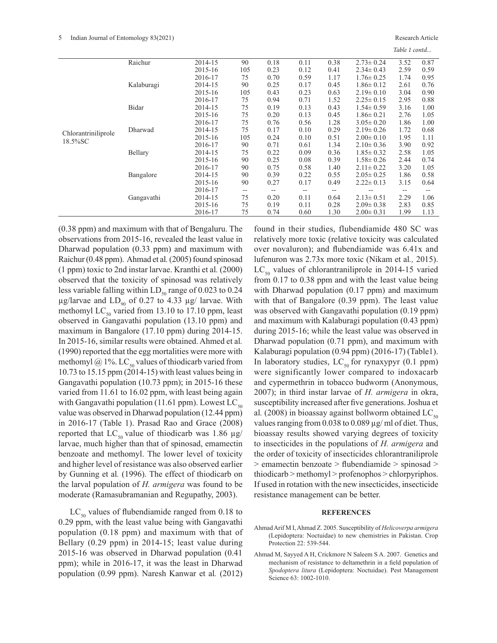#### 5 Indian Journal of Entomology 83(2021) Research Article

*Table 1 contd...*

|                     | Raichur    | 2014-15 | 90                       | 0.18 | 0.11  | 0.38              | $2.73 \pm 0.24$ | 3.52 | 0.87  |
|---------------------|------------|---------|--------------------------|------|-------|-------------------|-----------------|------|-------|
|                     |            | 2015-16 | 105                      | 0.23 | 0.12  | 0.41              | $2.34 \pm 0.43$ | 2.59 | 0.59  |
|                     |            | 2016-17 | 75                       | 0.70 | 0.59  | 1.17              | $1.76 \pm 0.25$ | 1.74 | 0.95  |
|                     | Kalaburagi | 2014-15 | 90                       | 0.25 | 0.17  | 0.45              | $1.86 \pm 0.12$ | 2.61 | 0.76  |
|                     |            | 2015-16 | 105                      | 0.43 | 0.23  | 0.63              | $2.19 \pm 0.10$ | 3.04 | 0.90  |
|                     |            | 2016-17 | 75                       | 0.94 | 0.71  | 1.52              | $2.25 \pm 0.15$ | 2.95 | 0.88  |
|                     | Bidar      | 2014-15 | 75                       | 0.19 | 0.13  | 0.43              | $1.54 \pm 0.59$ | 3.16 | 1.00  |
|                     |            | 2015-16 | 75                       | 0.20 | 0.13  | 0.45              | $1.86 \pm 0.21$ | 2.76 | 1.05  |
|                     |            | 2016-17 | 75                       | 0.76 | 0.56  | 1.28              | $3.05 \pm 0.20$ | 1.86 | 1.00  |
| Chlorantriniliprole | Dharwad    | 2014-15 | 75                       | 0.17 | 0.10  | 0.29              | $2.19 \pm 0.26$ | 1.72 | 0.68  |
| 18.5%SC             |            | 2015-16 | 105                      | 0.24 | 0.10  | 0.51              | $2.00 \pm 0.10$ | 1.95 | 1.11  |
|                     |            | 2016-17 | 90                       | 0.71 | 0.61  | 1.34              | $2.10 \pm 0.36$ | 3.90 | 0.92  |
|                     | Bellary    | 2014-15 | 75                       | 0.22 | 0.09  | 0.36              | $1.85 \pm 0.32$ | 2.58 | 1.05  |
|                     |            | 2015-16 | 90                       | 0.25 | 0.08  | 0.39              | $1.58 \pm 0.26$ | 2.44 | 0.74  |
|                     |            | 2016-17 | 90                       | 0.75 | 0.58  | 1.40              | $2.11 \pm 0.22$ | 3.20 | 1.05  |
|                     | Bangalore  | 2014-15 | 90                       | 0.39 | 0.22  | 0.55              | $2.05 \pm 0.25$ | 1.86 | 0.58  |
|                     |            | 2015-16 | 90                       | 0.27 | 0.17  | 0.49              | $2.22 \pm 0.13$ | 3.15 | 0.64  |
|                     |            | 2016-17 | $\overline{\phantom{a}}$ | --   | $- -$ | $\qquad \qquad -$ |                 | --   | $- -$ |
|                     | Gangavathi | 2014-15 | 75                       | 0.20 | 0.11  | 0.64              | $2.13 \pm 0.51$ | 2.29 | 1.06  |
|                     |            | 2015-16 | 75                       | 0.19 | 0.11  | 0.28              | $2.09 \pm 0.38$ | 2.83 | 0.85  |
|                     |            | 2016-17 | 75                       | 0.74 | 0.60  | 1.30              | $2.00 \pm 0.31$ | 1.99 | 1.13  |

(0.38 ppm) and maximum with that of Bengaluru. The observations from 2015-16, revealed the least value in Dharwad population (0.33 ppm) and maximum with Raichur (0.48 ppm). Ahmad et al*.* (2005) found spinosad (1 ppm) toxic to 2nd instar larvae. Kranthi et al*.* (2000) observed that the toxicity of spinosad was relatively less variable falling within  $LD_{50}$  range of 0.023 to 0.24  $\mu$ g/larvae and LD<sub>90</sub> of 0.27 to 4.33  $\mu$ g/ larvae. With methomyl  $LC_{50}$  varied from 13.10 to 17.10 ppm, least observed in Gangavathi population (13.10 ppm) and maximum in Bangalore (17.10 ppm) during 2014-15. In 2015-16, similar results were obtained. Ahmed et al*.* (1990) reported that the egg mortalities were more with methomyl @ 1%. LC<sub>50</sub> values of thiodicarb varied from 10.73 to 15.15 ppm (2014-15) with least values being in Gangavathi population (10.73 ppm); in 2015-16 these varied from 11.61 to 16.02 ppm, with least being again with Gangavathi population (11.61 ppm). Lowest  $LC_{50}$ value was observed in Dharwad population (12.44 ppm) in 2016-17 (Table 1). Prasad Rao and Grace (2008) reported that  $LC_{50}$  value of thiodicarb was 1.86  $\mu$ g/ larvae, much higher than that of spinosad, emamectin benzoate and methomyl. The lower level of toxicity and higher level of resistance was also observed earlier by Gunning et al*.* (1996). The effect of thiodicarb on the larval population of *H. armigera* was found to be moderate (Ramasubramanian and Regupathy, 2003).

 $LC_{50}$  values of flubendiamide ranged from 0.18 to 0.29 ppm, with the least value being with Gangavathi population (0.18 ppm) and maximum with that of Bellary (0.29 ppm) in 2014-15; least value during 2015-16 was observed in Dharwad population (0.41 ppm); while in 2016-17, it was the least in Dharwad population (0.99 ppm). Naresh Kanwar et al*.* (2012)

found in their studies, flubendiamide 480 SC was relatively more toxic (relative toxicity was calculated over novaluron); and flubendiamide was 6.41x and lufenuron was 2.73x more toxic (Nikam et al*.,* 2015).  $LC_{50}$  values of chlorantraniliprole in 2014-15 varied from 0.17 to 0.38 ppm and with the least value being with Dharwad population (0.17 ppm) and maximum with that of Bangalore (0.39 ppm). The least value was observed with Gangavathi population (0.19 ppm) and maximum with Kalaburagi population (0.43 ppm) during 2015-16; while the least value was observed in Dharwad population (0.71 ppm), and maximum with Kalaburagi population (0.94 ppm) (2016-17) (Table1). In laboratory studies,  $LC_{50}$  for rynaxypyr (0.1 ppm) were significantly lower compared to indoxacarb and cypermethrin in tobacco budworm (Anonymous, 2007); in third instar larvae of *H. armigera* in okra, susceptibility increased after five generations. Joshua et al. (2008) in bioassay against bollworm obtained  $LC_{\rm so}$ values ranging from 0.038 to 0.089 µg/ ml of diet. Thus, bioassay results showed varying degrees of toxicity to insecticides in the populations of *H. armigera* and the order of toxicity of insecticides chlorantraniliprole > emamectin benzoate > flubendiamide > spinosad > thiodicarb > methomyl > profenophos > chlorpyriphos. If used in rotation with the new insecticides, insecticide resistance management can be better.

#### **REFERENCES**

Ahmad Arif M I, Ahmad Z. 2005. Susceptibility of *Helicoverpa armigera* (Lepidoptera: Noctuidae) to new chemistries in Pakistan. Crop Protection 22: 539-544.

Ahmad M, Sayyed A H, Crickmore N Saleem S A. 2007. Genetics and mechanism of resistance to deltamethrin in a field population of *Spodoptera litura* (Lepidoptera: Noctuidae). Pest Management Science 63: 1002-1010.